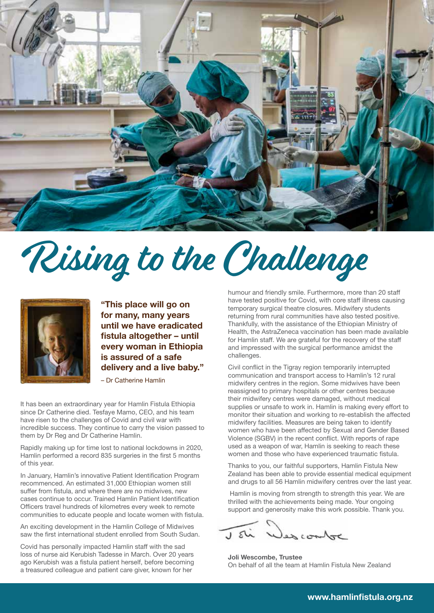

## Rising to the Challenge



**"This place will go on for many, many years until we have eradicated fistula altogether – until every woman in Ethiopia is assured of a safe delivery and a live baby."** 

– Dr Catherine Hamlin

It has been an extraordinary year for Hamlin Fistula Ethiopia since Dr Catherine died. Tesfaye Mamo, CEO, and his team have risen to the challenges of Covid and civil war with incredible success. They continue to carry the vision passed to them by Dr Reg and Dr Catherine Hamlin.

Rapidly making up for time lost to national lockdowns in 2020, Hamlin performed a record 835 surgeries in the first 5 months of this year.

In January, Hamlin's innovative Patient Identification Program recommenced. An estimated 31,000 Ethiopian women still suffer from fistula, and where there are no midwives, new cases continue to occur. Trained Hamlin Patient Identification Officers travel hundreds of kilometres every week to remote communities to educate people and locate women with fistula.

An exciting development in the Hamlin College of Midwives saw the first international student enrolled from South Sudan.

Covid has personally impacted Hamlin staff with the sad loss of nurse aid Kerubish Tadesse in March. Over 20 years ago Kerubish was a fistula patient herself, before becoming a treasured colleague and patient care giver, known for her

humour and friendly smile. Furthermore, more than 20 staff have tested positive for Covid, with core staff illness causing temporary surgical theatre closures. Midwifery students returning from rural communities have also tested positive. Thankfully, with the assistance of the Ethiopian Ministry of Health, the AstraZeneca vaccination has been made available for Hamlin staff. We are grateful for the recovery of the staff and impressed with the surgical performance amidst the challenges.

Civil conflict in the Tigray region temporarily interrupted communication and transport access to Hamlin's 12 rural midwifery centres in the region. Some midwives have been reassigned to primary hospitals or other centres because their midwifery centres were damaged, without medical supplies or unsafe to work in. Hamlin is making every effort to monitor their situation and working to re-establish the affected midwifery facilities. Measures are being taken to identify women who have been affected by Sexual and Gender Based Violence (SGBV) in the recent conflict. With reports of rape used as a weapon of war, Hamlin is seeking to reach these women and those who have experienced traumatic fistula.

Thanks to you, our faithful supporters, Hamlin Fistula New Zealand has been able to provide essential medical equipment and drugs to all 56 Hamlin midwifery centres over the last year.

 Hamlin is moving from strength to strength this year. We are thrilled with the achievements being made. Your ongoing support and generosity make this work possible. Thank you.

rolling

**Joli Wescombe, Trustee** On behalf of all the team at Hamlin Fistula New Zealand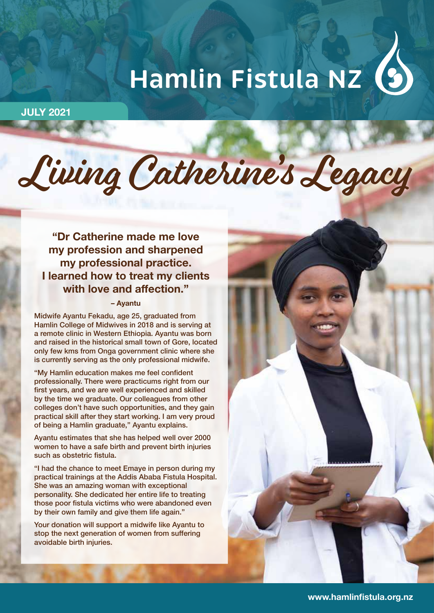# **Hamlin Fistula NZ**

**JULY 2021**

## Living Catherine's Legacy

**"Dr Catherine made me love my profession and sharpened my professional practice. I learned how to treat my clients with love and affection."**

#### **– Ayantu**

Midwife Ayantu Fekadu, age 25, graduated from Hamlin College of Midwives in 2018 and is serving at a remote clinic in Western Ethiopia. Ayantu was born and raised in the historical small town of Gore, located only few kms from Onga government clinic where she is currently serving as the only professional midwife.

"My Hamlin education makes me feel confident professionally. There were practicums right from our first years, and we are well experienced and skilled by the time we graduate. Our colleagues from other colleges don't have such opportunities, and they gain practical skill after they start working. I am very proud of being a Hamlin graduate," Ayantu explains.

Ayantu estimates that she has helped well over 2000 women to have a safe birth and prevent birth injuries such as obstetric fistula.

"I had the chance to meet Emaye in person during my practical trainings at the Addis Ababa Fistula Hospital. She was an amazing woman with exceptional personality. She dedicated her entire life to treating those poor fistula victims who were abandoned even by their own family and give them life again."

Your donation will support a midwife like Ayantu to stop the next generation of women from suffering avoidable birth injuries.

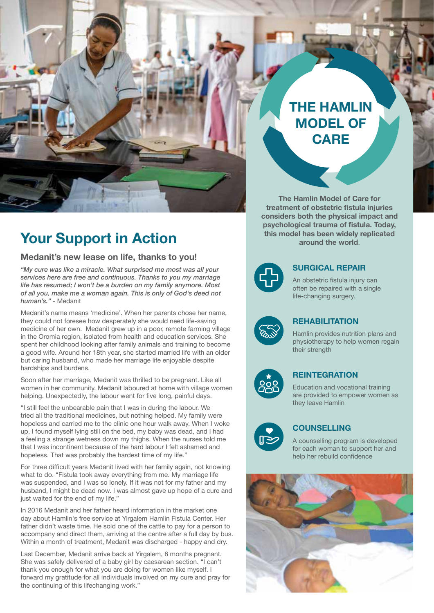

## **Your Support in Action**

#### **Medanit's new lease on life, thanks to you!**

*"My cure was like a miracle. What surprised me most was all your services here are free and continuous. Thanks to you my marriage life has resumed; I won't be a burden on my family anymore. Most of all you, make me a woman again. This is only of God's deed not human's."* - Medanit

Medanit's name means 'medicine'. When her parents chose her name, they could not foresee how desperately she would need life-saving medicine of her own. Medanit grew up in a poor, remote farming village in the Oromia region, isolated from health and education services. She spent her childhood looking after family animals and training to become a good wife. Around her 18th year, she started married life with an older but caring husband, who made her marriage life enjoyable despite hardships and burdens.

Soon after her marriage, Medanit was thrilled to be pregnant. Like all women in her community, Medanit laboured at home with village women helping. Unexpectedly, the labour went for five long, painful days.

"I still feel the unbearable pain that I was in during the labour. We tried all the traditional medicines, but nothing helped. My family were hopeless and carried me to the clinic one hour walk away. When I woke up, I found myself lying still on the bed, my baby was dead, and I had a feeling a strange wetness down my thighs. When the nurses told me that I was incontinent because of the hard labour I felt ashamed and hopeless. That was probably the hardest time of my life."

For three difficult years Medanit lived with her family again, not knowing what to do. "Fistula took away everything from me. My marriage life was suspended, and I was so lonely. If it was not for my father and my husband, I might be dead now. I was almost gave up hope of a cure and just waited for the end of my life."

In 2016 Medanit and her father heard information in the market one day about Hamlin's free service at Yirgalem Hamlin Fistula Center. Her father didn't waste time. He sold one of the cattle to pay for a person to accompany and direct them, arriving at the centre after a full day by bus. Within a month of treatment, Medanit was discharged - happy and dry.

Last December, Medanit arrive back at Yirgalem, 8 months pregnant. She was safely delivered of a baby girl by caesarean section. "I can't thank you enough for what you are doing for women like myself. I forward my gratitude for all individuals involved on my cure and pray for the continuing of this lifechanging work."

## **THE HAMLIN MODEL OF CARE**

**The Hamlin Model of Care for treatment of obstetric fistula injuries considers both the physical impact and psychological trauma of fistula. Today, this model has been widely replicated around the world**.



#### **SURGICAL REPAIR**

An obstetric fistula injury can often be repaired with a single life-changing surgery.



#### **REHABILITATION**

Hamlin provides nutrition plans and physiotherapy to help women regain their strength



#### **REINTEGRATION**

Education and vocational training are provided to empower women as they leave Hamlin



#### **COUNSELLING**

A counselling program is developed for each woman to support her and help her rebuild confidence

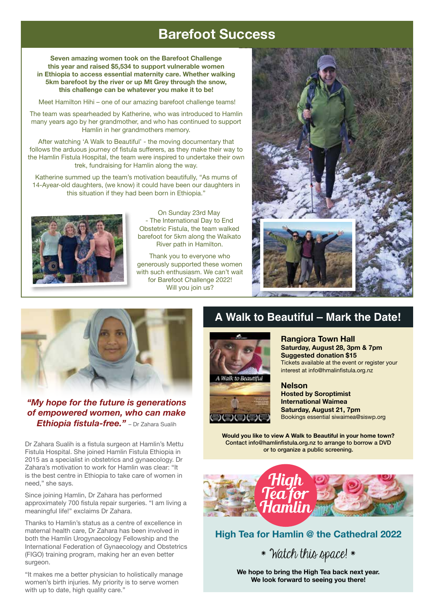## **Barefoot Success**

**Seven amazing women took on the Barefoot Challenge this year and raised \$5,534 to support vulnerable women in Ethiopia to access essential maternity care. Whether walking 5km barefoot by the river or up Mt Grey through the snow, this challenge can be whatever you make it to be!**

Meet Hamilton Hihi – one of our amazing barefoot challenge teams!

The team was spearheaded by Katherine, who was introduced to Hamlin many years ago by her grandmother, and who has continued to support Hamlin in her grandmothers memory.

After watching 'A Walk to Beautiful' - the moving documentary that follows the arduous journey of fistula sufferers, as they make their way to the Hamlin Fistula Hospital, the team were inspired to undertake their own trek, fundraising for Hamlin along the way.

Katherine summed up the team's motivation beautifully, "As mums of 14-Ayear-old daughters, (we know) it could have been our daughters in this situation if they had been born in Ethiopia."



On Sunday 23rd May - The International Day to End Obstetric Fistula, the team walked barefoot for 5km along the Waikato River path in Hamilton.

Thank you to everyone who generously supported these women with such enthusiasm. We can't wait for Barefoot Challenge 2022! Will you join us?





#### *"My hope for the future is generations of empowered women, who can make Ethiopia fistula-free."* – Dr Zahara Sualih

Dr Zahara Sualih is a fistula surgeon at Hamlin's Mettu Fistula Hospital. She joined Hamlin Fistula Ethiopia in 2015 as a specialist in obstetrics and gynaecology. Dr Zahara's motivation to work for Hamlin was clear: "It is the best centre in Ethiopia to take care of women in need," she says.

Since joining Hamlin, Dr Zahara has performed approximately 700 fistula repair surgeries. "I am living a meaningful life!" exclaims Dr Zahara.

Thanks to Hamlin's status as a centre of excellence in maternal health care, Dr Zahara has been involved in both the Hamlin Urogynaecology Fellowship and the International Federation of Gynaecology and Obstetrics (FIGO) training program, making her an even better surgeon.

"It makes me a better physician to holistically manage women's birth injuries. My priority is to serve women with up to date, high quality care."

### **A Walk to Beautiful – Mark the Date!**

**Rangiora Town Hall**

**Suggested donation \$15**





#### Tickets available at the event or register your interest at info@hmalinfistula.org.nz **Nelson Hosted by Soroptimist**

**Saturday, August 28, 3pm & 7pm**

**International Waimea Saturday, August 21, 7pm** Bookings essential siwaimea@siswp.org

**Would you like to view A Walk to Beautiful in your home town?**  Contact info@hamlinfistula.org.nz to arrange to borrow a DVD or to organize a public screening.



**High Tea for Hamlin @ the Cathedral 2022**

\* Watch this space! \*

**We hope to bring the High Tea back next year. We look forward to seeing you there!**